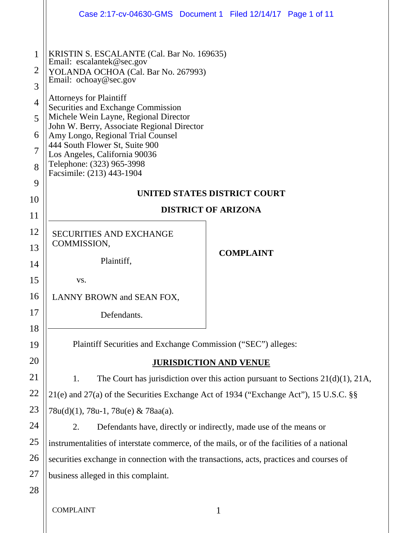|                                      |                                                                                                                                                                                                                                                                                                                                                                                                                                                                          | Case 2:17-cv-04630-GMS  Document 1  Filed 12/14/17  Page 1 of 11 |
|--------------------------------------|--------------------------------------------------------------------------------------------------------------------------------------------------------------------------------------------------------------------------------------------------------------------------------------------------------------------------------------------------------------------------------------------------------------------------------------------------------------------------|------------------------------------------------------------------|
| 1<br>2<br>3<br>4<br>5<br>6<br>7<br>8 | KRISTIN S. ESCALANTE (Cal. Bar No. 169635)<br>Email: escalantek@sec.gov<br>YOLANDA OCHOA (Cal. Bar No. 267993)<br>Email: ochoay@sec.gov<br><b>Attorneys for Plaintiff</b><br>Securities and Exchange Commission<br>Michele Wein Layne, Regional Director<br>John W. Berry, Associate Regional Director<br>Amy Longo, Regional Trial Counsel<br>444 South Flower St, Suite 900<br>Los Angeles, California 90036<br>Telephone: (323) 965-3998<br>Facsimile: (213) 443-1904 |                                                                  |
| 9                                    | UNITED STATES DISTRICT COURT                                                                                                                                                                                                                                                                                                                                                                                                                                             |                                                                  |
| 10<br>11                             | <b>DISTRICT OF ARIZONA</b>                                                                                                                                                                                                                                                                                                                                                                                                                                               |                                                                  |
| 12                                   | <b>SECURITIES AND EXCHANGE</b>                                                                                                                                                                                                                                                                                                                                                                                                                                           |                                                                  |
| 13                                   | COMMISSION,                                                                                                                                                                                                                                                                                                                                                                                                                                                              |                                                                  |
| 14                                   | Plaintiff,                                                                                                                                                                                                                                                                                                                                                                                                                                                               | <b>COMPLAINT</b>                                                 |
| 15                                   | VS.                                                                                                                                                                                                                                                                                                                                                                                                                                                                      |                                                                  |
| 16                                   | LANNY BROWN and SEAN FOX,                                                                                                                                                                                                                                                                                                                                                                                                                                                |                                                                  |
| 17                                   | Defendants.                                                                                                                                                                                                                                                                                                                                                                                                                                                              |                                                                  |
| 18                                   |                                                                                                                                                                                                                                                                                                                                                                                                                                                                          |                                                                  |
| 19                                   | Plaintiff Securities and Exchange Commission ("SEC") alleges:                                                                                                                                                                                                                                                                                                                                                                                                            |                                                                  |
| 20                                   | <b>JURISDICTION AND VENUE</b>                                                                                                                                                                                                                                                                                                                                                                                                                                            |                                                                  |
| 21                                   | 1.<br>The Court has jurisdiction over this action pursuant to Sections $21(d)(1)$ , $21A$ ,                                                                                                                                                                                                                                                                                                                                                                              |                                                                  |
| 22                                   | 21(e) and 27(a) of the Securities Exchange Act of 1934 ("Exchange Act"), 15 U.S.C. §§                                                                                                                                                                                                                                                                                                                                                                                    |                                                                  |
| 23                                   | 78u(d)(1), 78u-1, 78u(e) & 78aa(a).                                                                                                                                                                                                                                                                                                                                                                                                                                      |                                                                  |
| 24                                   | 2.<br>Defendants have, directly or indirectly, made use of the means or                                                                                                                                                                                                                                                                                                                                                                                                  |                                                                  |
| 25                                   | instrumentalities of interstate commerce, of the mails, or of the facilities of a national                                                                                                                                                                                                                                                                                                                                                                               |                                                                  |
| 26                                   | securities exchange in connection with the transactions, acts, practices and courses of                                                                                                                                                                                                                                                                                                                                                                                  |                                                                  |
| 27                                   | business alleged in this complaint.                                                                                                                                                                                                                                                                                                                                                                                                                                      |                                                                  |
| 28                                   |                                                                                                                                                                                                                                                                                                                                                                                                                                                                          |                                                                  |
|                                      | <b>COMPLAINT</b>                                                                                                                                                                                                                                                                                                                                                                                                                                                         | 1                                                                |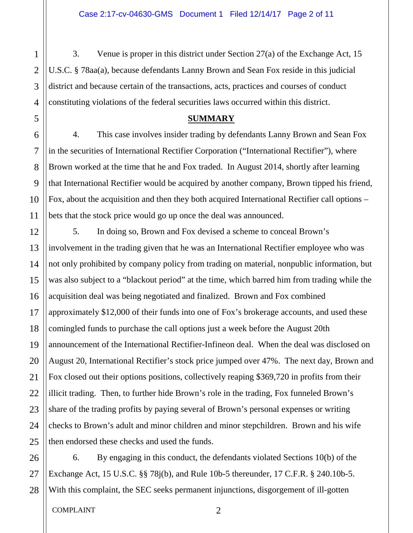3. Venue is proper in this district under Section 27(a) of the Exchange Act, 15 U.S.C. § 78aa(a), because defendants Lanny Brown and Sean Fox reside in this judicial district and because certain of the transactions, acts, practices and courses of conduct constituting violations of the federal securities laws occurred within this district.

#### **SUMMARY**

4. This case involves insider trading by defendants Lanny Brown and Sean Fox in the securities of International Rectifier Corporation ("International Rectifier"), where Brown worked at the time that he and Fox traded. In August 2014, shortly after learning that International Rectifier would be acquired by another company, Brown tipped his friend, Fox, about the acquisition and then they both acquired International Rectifier call options – bets that the stock price would go up once the deal was announced.

5. In doing so, Brown and Fox devised a scheme to conceal Brown's involvement in the trading given that he was an International Rectifier employee who was not only prohibited by company policy from trading on material, nonpublic information, but was also subject to a "blackout period" at the time, which barred him from trading while the acquisition deal was being negotiated and finalized. Brown and Fox combined approximately \$12,000 of their funds into one of Fox's brokerage accounts, and used these comingled funds to purchase the call options just a week before the August 20th announcement of the International Rectifier-Infineon deal. When the deal was disclosed on August 20, International Rectifier's stock price jumped over 47%. The next day, Brown and Fox closed out their options positions, collectively reaping \$369,720 in profits from their illicit trading. Then, to further hide Brown's role in the trading, Fox funneled Brown's share of the trading profits by paying several of Brown's personal expenses or writing checks to Brown's adult and minor children and minor stepchildren. Brown and his wife then endorsed these checks and used the funds.

26 27 28 6. By engaging in this conduct, the defendants violated Sections 10(b) of the Exchange Act, 15 U.S.C. §§ 78j(b), and Rule 10b-5 thereunder, 17 C.F.R. § 240.10b-5. With this complaint, the SEC seeks permanent injunctions, disgorgement of ill-gotten

#### COMPLAINT 2

1

2

3

4

5

6

7

8

9

10

11

12

13

14

15

16

17

18

19

20

21

22

23

24

25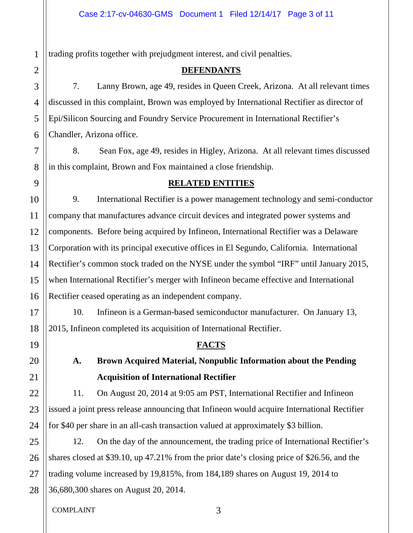trading profits together with prejudgment interest, and civil penalties.

## **DEFENDANTS**

7. Lanny Brown, age 49, resides in Queen Creek, Arizona. At all relevant times discussed in this complaint, Brown was employed by International Rectifier as director of Epi/Silicon Sourcing and Foundry Service Procurement in International Rectifier's Chandler, Arizona office.

8. Sean Fox, age 49, resides in Higley, Arizona. At all relevant times discussed in this complaint, Brown and Fox maintained a close friendship.

# **RELATED ENTITIES**

9. International Rectifier is a power management technology and semi-conductor company that manufactures advance circuit devices and integrated power systems and components. Before being acquired by Infineon, International Rectifier was a Delaware Corporation with its principal executive offices in El Segundo, California. International Rectifier's common stock traded on the NYSE under the symbol "IRF" until January 2015, when International Rectifier's merger with Infineon became effective and International Rectifier ceased operating as an independent company.

10. Infineon is a German-based semiconductor manufacturer. On January 13, 2015, Infineon completed its acquisition of International Rectifier.

# **FACTS**

# **A. Brown Acquired Material, Nonpublic Information about the Pending Acquisition of International Rectifier**

11. On August 20, 2014 at 9:05 am PST, International Rectifier and Infineon issued a joint press release announcing that Infineon would acquire International Rectifier for \$40 per share in an all-cash transaction valued at approximately \$3 billion.

12. On the day of the announcement, the trading price of International Rectifier's shares closed at \$39.10, up 47.21% from the prior date's closing price of \$26.56, and the trading volume increased by 19,815%, from 184,189 shares on August 19, 2014 to 36,680,300 shares on August 20, 2014.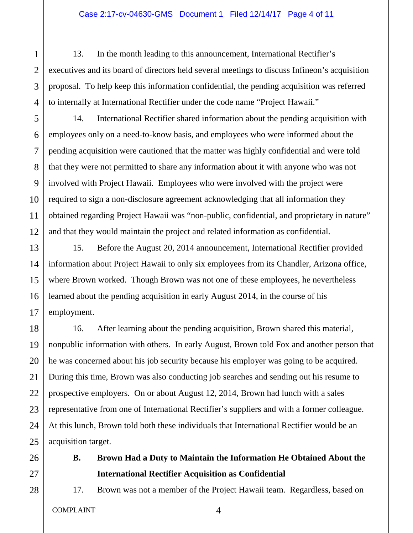13. In the month leading to this announcement, International Rectifier's executives and its board of directors held several meetings to discuss Infineon's acquisition proposal. To help keep this information confidential, the pending acquisition was referred to internally at International Rectifier under the code name "Project Hawaii."

14. International Rectifier shared information about the pending acquisition with employees only on a need-to-know basis, and employees who were informed about the pending acquisition were cautioned that the matter was highly confidential and were told that they were not permitted to share any information about it with anyone who was not involved with Project Hawaii. Employees who were involved with the project were required to sign a non-disclosure agreement acknowledging that all information they obtained regarding Project Hawaii was "non-public, confidential, and proprietary in nature" and that they would maintain the project and related information as confidential.

15. Before the August 20, 2014 announcement, International Rectifier provided information about Project Hawaii to only six employees from its Chandler, Arizona office, where Brown worked. Though Brown was not one of these employees, he nevertheless learned about the pending acquisition in early August 2014, in the course of his employment.

16. After learning about the pending acquisition, Brown shared this material, nonpublic information with others. In early August, Brown told Fox and another person that he was concerned about his job security because his employer was going to be acquired. During this time, Brown was also conducting job searches and sending out his resume to prospective employers. On or about August 12, 2014, Brown had lunch with a sales representative from one of International Rectifier's suppliers and with a former colleague. At this lunch, Brown told both these individuals that International Rectifier would be an acquisition target.

**B. Brown Had a Duty to Maintain the Information He Obtained About the International Rectifier Acquisition as Confidential**

17. Brown was not a member of the Project Hawaii team. Regardless, based on

1

2

3

4

5

6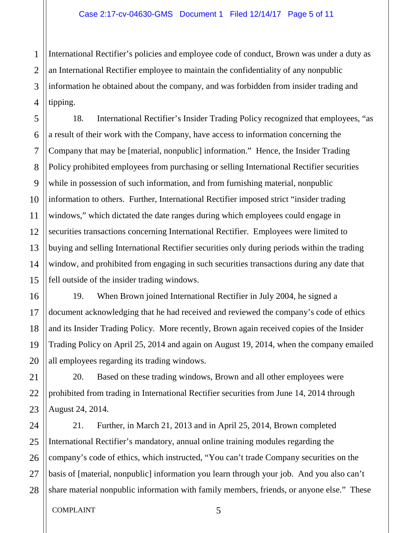2 3 4 International Rectifier's policies and employee code of conduct, Brown was under a duty as an International Rectifier employee to maintain the confidentiality of any nonpublic information he obtained about the company, and was forbidden from insider trading and tipping.

18. International Rectifier's Insider Trading Policy recognized that employees, "as a result of their work with the Company, have access to information concerning the Company that may be [material, nonpublic] information." Hence, the Insider Trading Policy prohibited employees from purchasing or selling International Rectifier securities while in possession of such information, and from furnishing material, nonpublic information to others. Further, International Rectifier imposed strict "insider trading windows," which dictated the date ranges during which employees could engage in securities transactions concerning International Rectifier. Employees were limited to buying and selling International Rectifier securities only during periods within the trading window, and prohibited from engaging in such securities transactions during any date that fell outside of the insider trading windows.

19. When Brown joined International Rectifier in July 2004, he signed a document acknowledging that he had received and reviewed the company's code of ethics and its Insider Trading Policy. More recently, Brown again received copies of the Insider Trading Policy on April 25, 2014 and again on August 19, 2014, when the company emailed all employees regarding its trading windows.

20. Based on these trading windows, Brown and all other employees were prohibited from trading in International Rectifier securities from June 14, 2014 through August 24, 2014.

21. Further, in March 21, 2013 and in April 25, 2014, Brown completed International Rectifier's mandatory, annual online training modules regarding the company's code of ethics, which instructed, "You can't trade Company securities on the basis of [material, nonpublic] information you learn through your job. And you also can't share material nonpublic information with family members, friends, or anyone else." These

1

5

6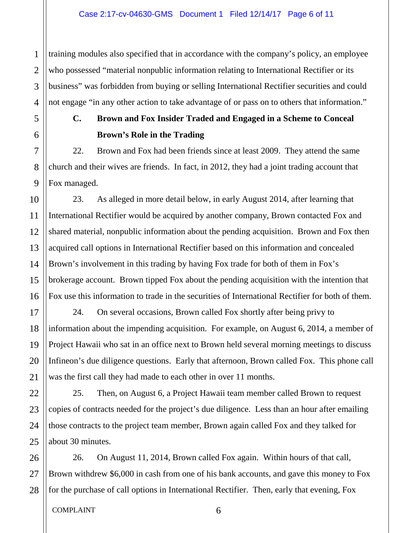2 3 4 training modules also specified that in accordance with the company's policy, an employee who possessed "material nonpublic information relating to International Rectifier or its business" was forbidden from buying or selling International Rectifier securities and could not engage "in any other action to take advantage of or pass on to others that information."

1

5

6

7

8

9

10

11

12

13

14

15

17

18

19

20

21

22

23

24

25

# **C. Brown and Fox Insider Traded and Engaged in a Scheme to Conceal Brown's Role in the Trading**

22. Brown and Fox had been friends since at least 2009. They attend the same church and their wives are friends. In fact, in 2012, they had a joint trading account that Fox managed.

16 23. As alleged in more detail below, in early August 2014, after learning that International Rectifier would be acquired by another company, Brown contacted Fox and shared material, nonpublic information about the pending acquisition. Brown and Fox then acquired call options in International Rectifier based on this information and concealed Brown's involvement in this trading by having Fox trade for both of them in Fox's brokerage account. Brown tipped Fox about the pending acquisition with the intention that Fox use this information to trade in the securities of International Rectifier for both of them.

24. On several occasions, Brown called Fox shortly after being privy to information about the impending acquisition. For example, on August 6, 2014, a member of Project Hawaii who sat in an office next to Brown held several morning meetings to discuss Infineon's due diligence questions. Early that afternoon, Brown called Fox. This phone call was the first call they had made to each other in over 11 months.

25. Then, on August 6, a Project Hawaii team member called Brown to request copies of contracts needed for the project's due diligence. Less than an hour after emailing those contracts to the project team member, Brown again called Fox and they talked for about 30 minutes.

26 27 28 26. On August 11, 2014, Brown called Fox again. Within hours of that call, Brown withdrew \$6,000 in cash from one of his bank accounts, and gave this money to Fox for the purchase of call options in International Rectifier. Then, early that evening, Fox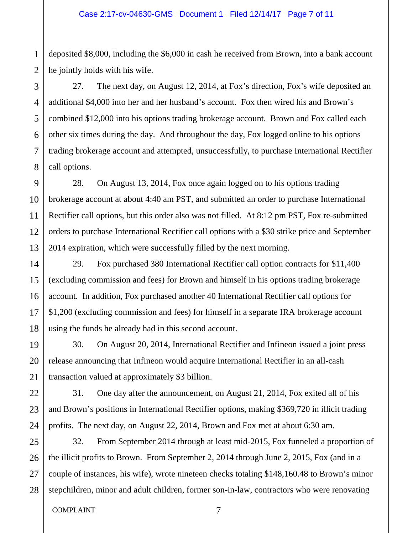deposited \$8,000, including the \$6,000 in cash he received from Brown, into a bank account he jointly holds with his wife.

27. The next day, on August 12, 2014, at Fox's direction, Fox's wife deposited an additional \$4,000 into her and her husband's account. Fox then wired his and Brown's combined \$12,000 into his options trading brokerage account. Brown and Fox called each other six times during the day. And throughout the day, Fox logged online to his options trading brokerage account and attempted, unsuccessfully, to purchase International Rectifier call options.

28. On August 13, 2014, Fox once again logged on to his options trading brokerage account at about 4:40 am PST, and submitted an order to purchase International Rectifier call options, but this order also was not filled. At 8:12 pm PST, Fox re-submitted orders to purchase International Rectifier call options with a \$30 strike price and September 2014 expiration, which were successfully filled by the next morning.

29. Fox purchased 380 International Rectifier call option contracts for \$11,400 (excluding commission and fees) for Brown and himself in his options trading brokerage account. In addition, Fox purchased another 40 International Rectifier call options for \$1,200 (excluding commission and fees) for himself in a separate IRA brokerage account using the funds he already had in this second account.

30. On August 20, 2014, International Rectifier and Infineon issued a joint press release announcing that Infineon would acquire International Rectifier in an all-cash transaction valued at approximately \$3 billion.

31. One day after the announcement, on August 21, 2014, Fox exited all of his and Brown's positions in International Rectifier options, making \$369,720 in illicit trading profits. The next day, on August 22, 2014, Brown and Fox met at about 6:30 am.

32. From September 2014 through at least mid-2015, Fox funneled a proportion of the illicit profits to Brown. From September 2, 2014 through June 2, 2015, Fox (and in a couple of instances, his wife), wrote nineteen checks totaling \$148,160.48 to Brown's minor stepchildren, minor and adult children, former son-in-law, contractors who were renovating

1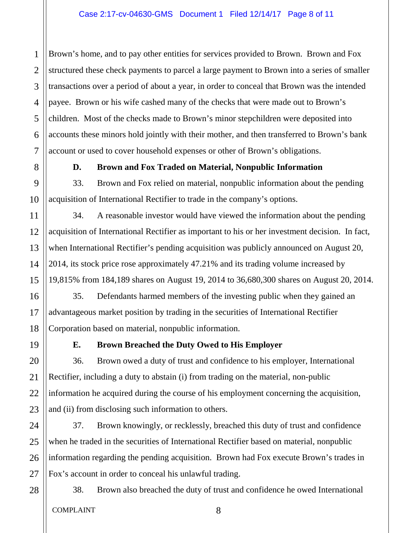2 3 4 5 6 7 Brown's home, and to pay other entities for services provided to Brown. Brown and Fox structured these check payments to parcel a large payment to Brown into a series of smaller transactions over a period of about a year, in order to conceal that Brown was the intended payee. Brown or his wife cashed many of the checks that were made out to Brown's children. Most of the checks made to Brown's minor stepchildren were deposited into accounts these minors hold jointly with their mother, and then transferred to Brown's bank account or used to cover household expenses or other of Brown's obligations.

1

8

9

10

11

12

13

14

15

16

17

18

19

20

21

22

23

# **D. Brown and Fox Traded on Material, Nonpublic Information**

33. Brown and Fox relied on material, nonpublic information about the pending acquisition of International Rectifier to trade in the company's options.

34. A reasonable investor would have viewed the information about the pending acquisition of International Rectifier as important to his or her investment decision. In fact, when International Rectifier's pending acquisition was publicly announced on August 20, 2014, its stock price rose approximately 47.21% and its trading volume increased by 19,815% from 184,189 shares on August 19, 2014 to 36,680,300 shares on August 20, 2014.

35. Defendants harmed members of the investing public when they gained an advantageous market position by trading in the securities of International Rectifier Corporation based on material, nonpublic information.

# **E. Brown Breached the Duty Owed to His Employer**

36. Brown owed a duty of trust and confidence to his employer, International Rectifier, including a duty to abstain (i) from trading on the material, non-public information he acquired during the course of his employment concerning the acquisition, and (ii) from disclosing such information to others.

24 25 26 37. Brown knowingly, or recklessly, breached this duty of trust and confidence when he traded in the securities of International Rectifier based on material, nonpublic information regarding the pending acquisition. Brown had Fox execute Brown's trades in Fox's account in order to conceal his unlawful trading.

28

27

38. Brown also breached the duty of trust and confidence he owed International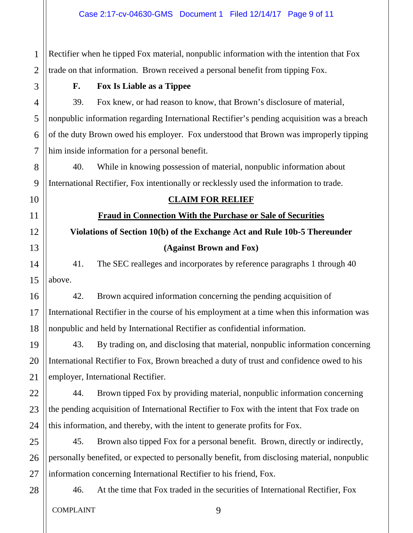2 Rectifier when he tipped Fox material, nonpublic information with the intention that Fox trade on that information. Brown received a personal benefit from tipping Fox.

1

3

4

5

6

7

8

9

# **F. Fox Is Liable as a Tippee**

39. Fox knew, or had reason to know, that Brown's disclosure of material, nonpublic information regarding International Rectifier's pending acquisition was a breach of the duty Brown owed his employer. Fox understood that Brown was improperly tipping him inside information for a personal benefit.

40. While in knowing possession of material, nonpublic information about International Rectifier, Fox intentionally or recklessly used the information to trade.

10

11

12

13

14

15

16

17

18

19

20

21

22

23

24

25

# **CLAIM FOR RELIEF**

**Fraud in Connection With the Purchase or Sale of Securities**

**Violations of Section 10(b) of the Exchange Act and Rule 10b-5 Thereunder (Against Brown and Fox)**

41. The SEC realleges and incorporates by reference paragraphs 1 through 40 above.

42. Brown acquired information concerning the pending acquisition of International Rectifier in the course of his employment at a time when this information was nonpublic and held by International Rectifier as confidential information.

43. By trading on, and disclosing that material, nonpublic information concerning International Rectifier to Fox, Brown breached a duty of trust and confidence owed to his employer, International Rectifier.

44. Brown tipped Fox by providing material, nonpublic information concerning the pending acquisition of International Rectifier to Fox with the intent that Fox trade on this information, and thereby, with the intent to generate profits for Fox.

26 45. Brown also tipped Fox for a personal benefit. Brown, directly or indirectly, personally benefited, or expected to personally benefit, from disclosing material, nonpublic information concerning International Rectifier to his friend, Fox.

# 28

27

46. At the time that Fox traded in the securities of International Rectifier, Fox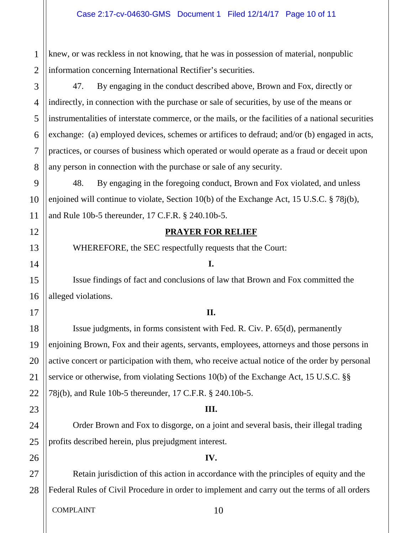knew, or was reckless in not knowing, that he was in possession of material, nonpublic information concerning International Rectifier's securities.

47. By engaging in the conduct described above, Brown and Fox, directly or indirectly, in connection with the purchase or sale of securities, by use of the means or instrumentalities of interstate commerce, or the mails, or the facilities of a national securities exchange: (a) employed devices, schemes or artifices to defraud; and/or (b) engaged in acts, practices, or courses of business which operated or would operate as a fraud or deceit upon any person in connection with the purchase or sale of any security.

48. By engaging in the foregoing conduct, Brown and Fox violated, and unless enjoined will continue to violate, Section 10(b) of the Exchange Act, 15 U.S.C. § 78j(b), and Rule 10b-5 thereunder, 17 C.F.R. § 240.10b-5.

#### **PRAYER FOR RELIEF**

WHEREFORE, the SEC respectfully requests that the Court:

#### **I.**

Issue findings of fact and conclusions of law that Brown and Fox committed the alleged violations.

## **II.**

Issue judgments, in forms consistent with Fed. R. Civ. P. 65(d), permanently enjoining Brown, Fox and their agents, servants, employees, attorneys and those persons in active concert or participation with them, who receive actual notice of the order by personal service or otherwise, from violating Sections 10(b) of the Exchange Act, 15 U.S.C. §§ 78j(b), and Rule 10b-5 thereunder, 17 C.F.R. § 240.10b-5.

## **III.**

Order Brown and Fox to disgorge, on a joint and several basis, their illegal trading profits described herein, plus prejudgment interest.

## **IV.**

27 28 Retain jurisdiction of this action in accordance with the principles of equity and the Federal Rules of Civil Procedure in order to implement and carry out the terms of all orders

COMPLAINT 10

1

2

3

4

5

6

7

8

9

10

11

12

13

14

15

16

17

18

19

20

21

22

23

24

25

26